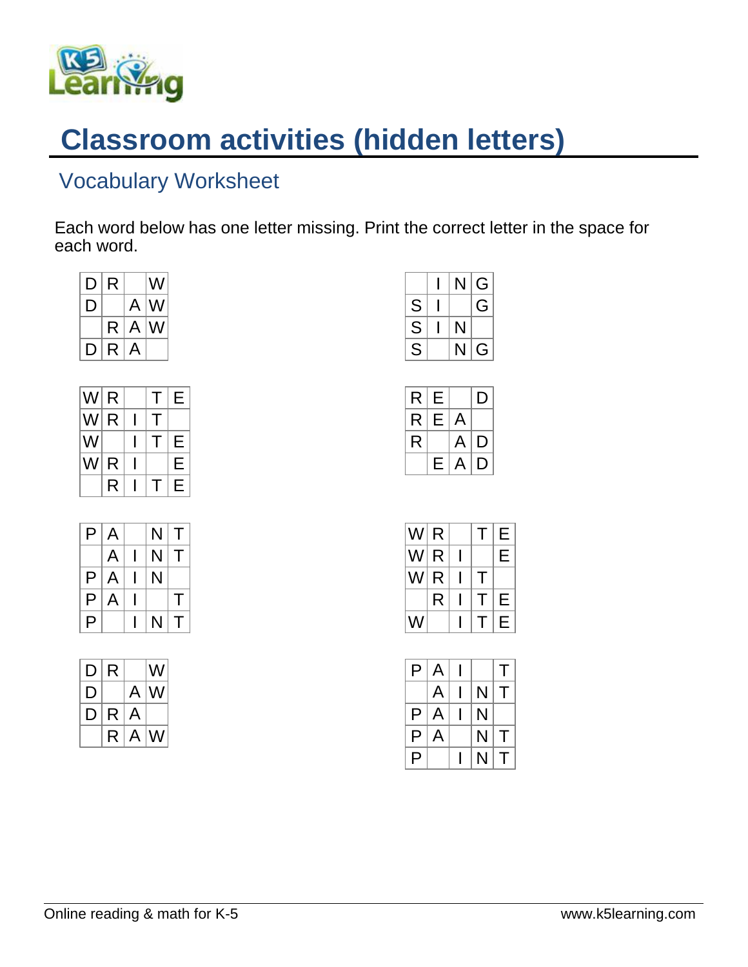

## **Classroom activities (hidden letters)**

## Vocabulary Worksheet

Each word below has one letter missing. Print the correct letter in the space for each word.

| D R   |  | W           |
|-------|--|-------------|
| D     |  | $A$ W       |
|       |  | $R$ $A$ $W$ |
| D R A |  |             |

| W R         |   |              | Τ            | E |
|-------------|---|--------------|--------------|---|
| W R         |   | $\mathbf{I}$ |              |   |
| $ {\sf W} $ |   |              | $\mathsf{L}$ | E |
| W R         |   |              |              | Е |
|             | R |              | т            | E |

|   | P A | N T                      |   |
|---|-----|--------------------------|---|
|   |     | $A \mid I \mid N \mid T$ |   |
|   | P A | N                        |   |
|   | P A |                          | т |
| P |     | $N$ T                    |   |

|              | D R | W           |
|--------------|-----|-------------|
| $\mathsf{D}$ |     | $A$   W     |
| D R A        |     |             |
|              |     | $R$ $A$ $W$ |

|   |    | N G            |
|---|----|----------------|
| S |    | G              |
| S | N  |                |
| S | N. | G <sub>1</sub> |

|                | R E   |       | D |
|----------------|-------|-------|---|
|                | R E A |       |   |
| R <sup>1</sup> |       | A D   |   |
|                |       | E A D |   |

| $ {\sf W} $ R $ $ |   |     |  |
|-------------------|---|-----|--|
|                   |   | W R |  |
|                   |   | W R |  |
|                   | R |     |  |
| W                 |   |     |  |

|   | $P$ $A$ $I$ |                         |        |
|---|-------------|-------------------------|--------|
|   | $A \mid$    | $I \mid N \mid T$       |        |
|   | P A         | $\overline{\mathsf{N}}$ |        |
|   | P   A       | N.                      | $\top$ |
| P |             | N.                      | $\top$ |